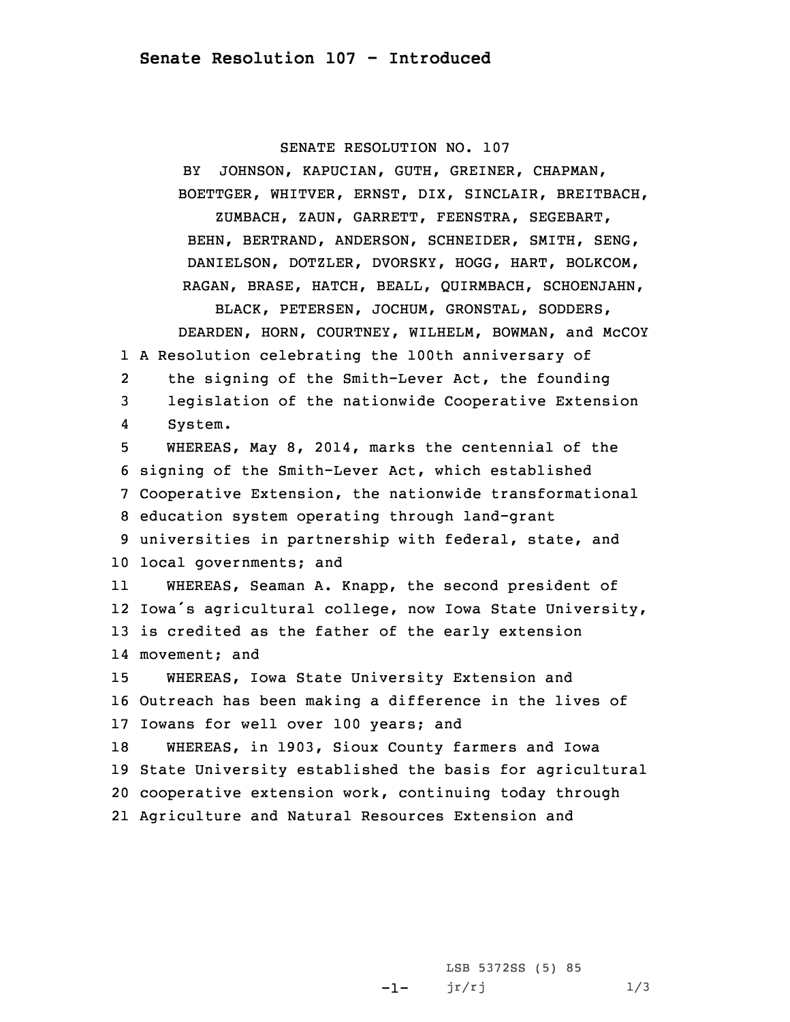## SENATE RESOLUTION NO. 107

BY JOHNSON, KAPUCIAN, GUTH, GREINER, CHAPMAN, BOETTGER, WHITVER, ERNST, DIX, SINCLAIR, BREITBACH, ZUMBACH, ZAUN, GARRETT, FEENSTRA, SEGEBART, BEHN, BERTRAND, ANDERSON, SCHNEIDER, SMITH, SENG, DANIELSON, DOTZLER, DVORSKY, HOGG, HART, BOLKCOM, RAGAN, BRASE, HATCH, BEALL, QUIRMBACH, SCHOENJAHN, BLACK, PETERSEN, JOCHUM, GRONSTAL, SODDERS, DEARDEN, HORN, COURTNEY, WILHELM, BOWMAN, and McCOY 1 <sup>A</sup> Resolution celebrating the 100th anniversary of 2 the signing of the Smith-Lever Act, the founding 3 legislation of the nationwide Cooperative Extension 4 System. 5 WHEREAS, May 8, 2014, marks the centennial of the 6 signing of the Smith-Lever Act, which established 7 Cooperative Extension, the nationwide transformational 8 education system operating through land-grant 9 universities in partnership with federal, state, and 10 local governments; and 11 WHEREAS, Seaman A. Knapp, the second president of 12 Iowa's agricultural college, now Iowa State University, 13 is credited as the father of the early extension 14 movement; and 15 WHEREAS, Iowa State University Extension and 16 Outreach has been making <sup>a</sup> difference in the lives of 17 Iowans for well over 100 years; and 18 WHEREAS, in 1903, Sioux County farmers and Iowa 19 State University established the basis for agricultural 20 cooperative extension work, continuing today through 21 Agriculture and Natural Resources Extension and

> -1-LSB 5372SS (5) 85  $jr/rj$  1/3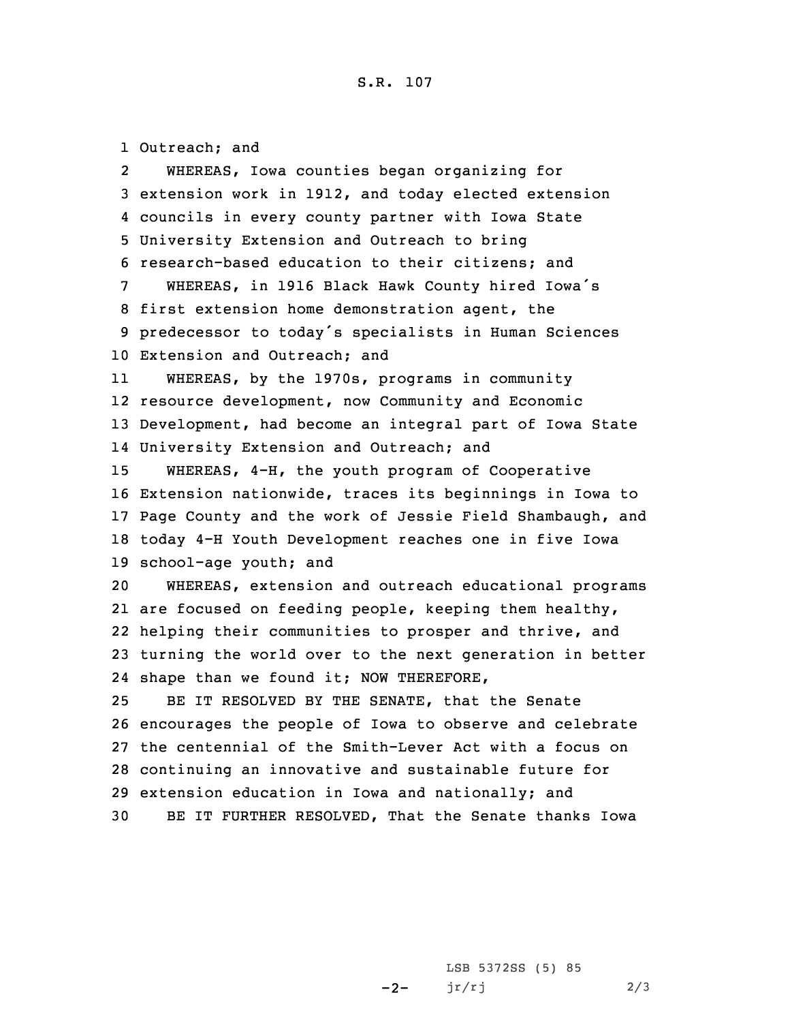Outreach; and 2 WHEREAS, Iowa counties began organizing for extension work in 1912, and today elected extension councils in every county partner with Iowa State University Extension and Outreach to bring research-based education to their citizens; and WHEREAS, in <sup>1916</sup> Black Hawk County hired Iowa's first extension home demonstration agent, the predecessor to today's specialists in Human Sciences Extension and Outreach; and 11 WHEREAS, by the 1970s, programs in community resource development, now Community and Economic Development, had become an integral part of Iowa State University Extension and Outreach; and WHEREAS, 4-H, the youth program of Cooperative Extension nationwide, traces its beginnings in Iowa to Page County and the work of Jessie Field Shambaugh, and today 4-H Youth Development reaches one in five Iowa school-age youth; and WHEREAS, extension and outreach educational programs are focused on feeding people, keeping them healthy, helping their communities to prosper and thrive, and turning the world over to the next generation in better shape than we found it; NOW THEREFORE, BE IT RESOLVED BY THE SENATE, that the Senate encourages the people of Iowa to observe and celebrate the centennial of the Smith-Lever Act with <sup>a</sup> focus on continuing an innovative and sustainable future for extension education in Iowa and nationally; and BE IT FURTHER RESOLVED, That the Senate thanks Iowa

> $-2-$ LSB 5372SS (5) 85  $jr/rj$  2/3